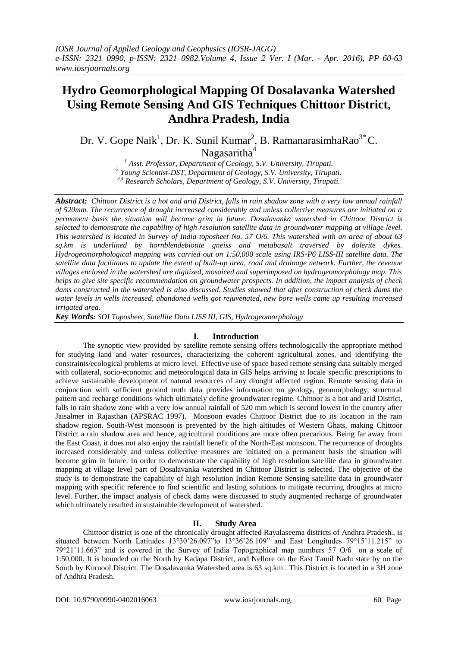# **Hydro Geomorphological Mapping Of Dosalavanka Watershed Using Remote Sensing And GIS Techniques Chittoor District, Andhra Pradesh, India**

Dr. V. Gope Naik<sup>1</sup>, Dr. K. Sunil Kumar<sup>2</sup>, B. RamanarasimhaRao<sup>3\*</sup> C. Nagasaritha<sup>4</sup>

> *<sup>1</sup> Asst. Professor, Department of Geology, S.V. University, Tirupati. 2 Young Scientist-DST, Department of Geology, S.V. University, Tirupati. 3,4 Research Scholars, Department of Geology, S.V. University, Tirupati.*

*Abstract: Chittoor District is a hot and arid District, falls in rain shadow zone with a very low annual rainfall of 520mm. The recurrence of drought increased considerably and unless collective measures are initiated on a permanent basis the situation will become grim in future. Dosalavanka watershed in Chittoor District is selected to demonstrate the capability of high resolution satellite data in groundwater mapping at village level. This watershed is located in Survey of India toposheet No. 57 O/6. This watershed with an area of about 63 sq.km is underlined by hornblendebiotite gneiss and metabasalt traversed by dolerite dykes. Hydrogeomorphological mapping was carried out on 1:50,000 scale using IRS-P6 LISS-III satellite data. The satellite data facilitates to update the extent of built-up area, road and drainage network. Further, the revenue villages enclosed in the watershed are digitized, mosaiced and superimposed on hydrogeomorphology map. This helps to give site specific recommendation on groundwater prospects. In addition, the impact analysis of check dams constructed in the watershed is also discussed. Studies showed that after construction of check dams the water levels in wells increased, abandoned wells got rejuvenated, new bore wells came up resulting increased irrigated area.*

*Key Words: SOI Toposheet, Satellite Data LISS III, GIS, Hydrogeomorphology* 

## **I. Introduction**

The synoptic view provided by satellite remote sensing offers technologically the appropriate method for studying land and water resources, characterizing the coherent agricultural zones, and identifying the constraints/ecological problems at micro level. Effective use of space based remote sensing data suitably merged with collateral, socio-economic and meteorological data in GIS helps arriving at locale specific prescriptions to achieve sustainable development of natural resources of any drought affected region. Remote sensing data in conjunction with sufficient ground truth data provides information on geology, geomorphology, structural pattern and recharge conditions which ultimately define groundwater regime. Chittoor is a hot and arid District, falls in rain shadow zone with a very low annual rainfall of 520 mm which is second lowest in the country after Jaisalmer in Rajasthan (APSRAC 1997). Monsoon evades Chittoor District due to its location in the rain shadow region. South-West monsoon is prevented by the high altitudes of Western Ghats, making Chittoor District a rain shadow area and hence, agricultural conditions are more often precarious. Being far away from the East Coast, it does not also enjoy the rainfall benefit of the North-East monsoon. The recurrence of droughts increased considerably and unless collective measures are initiated on a permanent basis the situation will become grim in future. In order to demonstrate the capability of high resolution satellite data in groundwater mapping at village level part of Dosalavanka watershed in Chittoor District is selected. The objective of the study is to demonstrate the capability of high resolution Indian Remote Sensing satellite data in groundwater mapping with specific reference to find scientific and lasting solutions to mitigate recurring droughts at micro level. Further, the impact analysis of check dams were discussed to study augmented recharge of groundwater which ultimately resulted in sustainable development of watershed.

## **II. Study Area**

Chittoor district is one of the chronically drought affected Rayalaseema districts of Andhra Pradesh., is situated between North Latitudes 13°30"26.097"to 13°36"26.109" and East Longitudes 79°15"11.215" to 79°21"11.663" and is covered in the Survey of India Topographical map numbers 57 O/6 on a scale of 1:50,000. It is bounded on the North by Kadapa District, and Nellore on the East Tamil Nadu state by on the South by Kurnool District. The Dosalavanka Watershed area is 63 sq.km . This District is located in a 3H zone of Andhra Pradesh.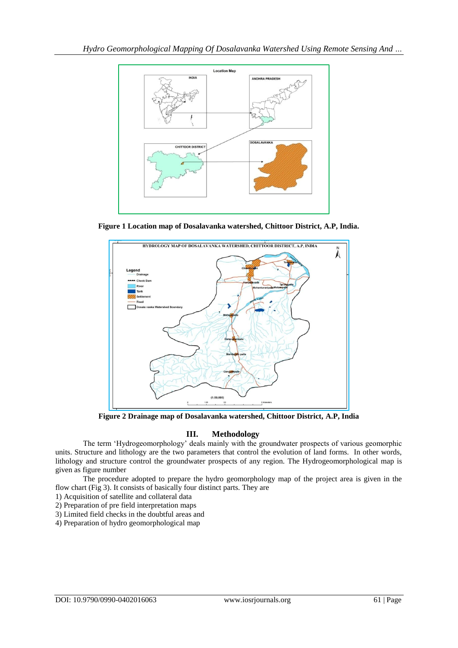

**Figure 1 Location map of Dosalavanka watershed, Chittoor District, A.P, India.**



**Figure 2 Drainage map of Dosalavanka watershed, Chittoor District, A.P, India**

# **III. Methodology**

The term "Hydrogeomorphology" deals mainly with the groundwater prospects of various geomorphic units. Structure and lithology are the two parameters that control the evolution of land forms. In other words, lithology and structure control the groundwater prospects of any region. The Hydrogeomorphological map is given as figure number

The procedure adopted to prepare the hydro geomorphology map of the project area is given in the flow chart (Fig 3). It consists of basically four distinct parts. They are

1) Acquisition of satellite and collateral data

2) Preparation of pre field interpretation maps

3) Limited field checks in the doubtful areas and

4) Preparation of hydro geomorphological map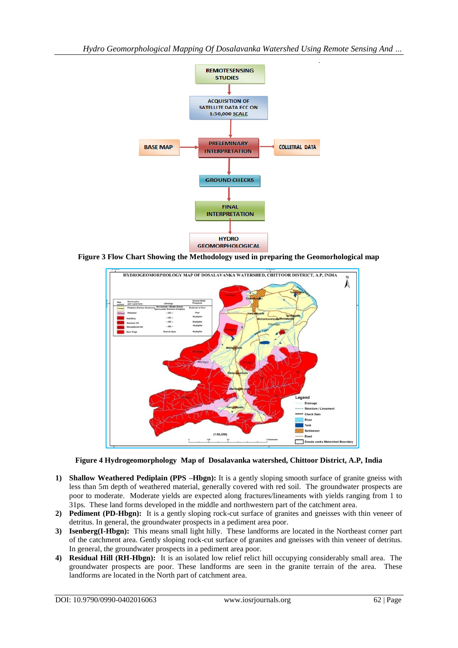

**Figure 3 Flow Chart Showing the Methodology used in preparing the Geomorhological map**



**Figure 4 Hydrogeomorphology Map of Dosalavanka watershed, Chittoor District, A.P, India**

- **1) Shallow Weathered Pediplain (PPS –Hbgn):** It is a gently sloping smooth surface of granite gneiss with less than 5m depth of weathered material, generally covered with red soil. The groundwater prospects are poor to moderate. Moderate yields are expected along fractures/lineaments with yields ranging from 1 to 31ps. These land forms developed in the middle and northwestern part of the catchment area.
- **2) Pediment (PD-Hbgn):** It is a gently sloping rock-cut surface of granites and gneisses with thin veneer of detritus. In general, the groundwater prospects in a pediment area poor.
- **3) Isenberg(I-Hbgn):** This means small light hilly. These landforms are located in the Northeast corner part of the catchment area. Gently sloping rock-cut surface of granites and gneisses with thin veneer of detritus. In general, the groundwater prospects in a pediment area poor.
- **4) Residual Hill (RH-Hbgn):** It is an isolated low relief relict hill occupying considerably small area. The groundwater prospects are poor. These landforms are seen in the granite terrain of the area. These landforms are located in the North part of catchment area.